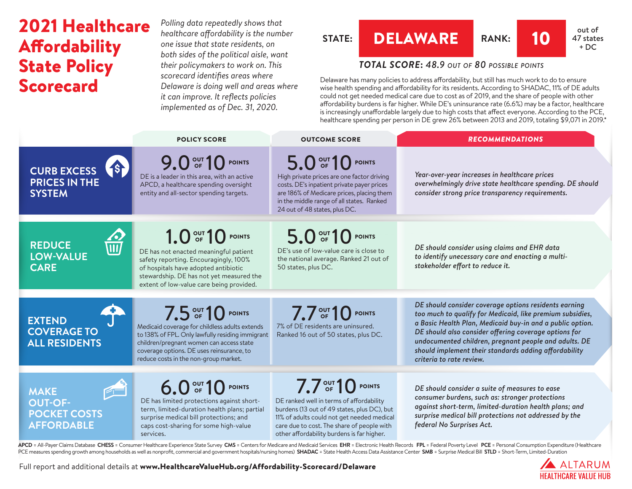# 2021 Healthcare **Affordability** State Policy Scorecard

*Polling data repeatedly shows that healthcare affordability is the number one issue that state residents, on both sides of the political aisle, want their policymakers to work on. This scorecard identifies areas where Delaware is doing well and areas where it can improve. It reflects policies implemented as of Dec. 31, 2020.*

## **STATE:** DELAWARE **RANK**: 10 **at of** out of

## 47 states  $+ DC$

## *TOTAL SCORE***:** *48.9 out of 80 possible points*

Delaware has many policies to address affordability, but still has much work to do to ensure wise health spending and affordability for its residents. According to SHADAC, 11% of DE adults could not get needed medical care due to cost as of 2019, and the share of people with other affordability burdens is far higher. While DE's uninsurance rate (6.6%) may be a factor, healthcare is increasingly unaffordable largely due to high costs that affect everyone. According to the PCE, healthcare spending per person in DE grew 26% between 2013 and 2019, totaling \$9,071 in 2019.\*

|                                                                                             | <b>POLICY SCORE</b>                                                                                                                                                                                                                                       | <b>OUTCOME SCORE</b>                                                                                                                                                                                                                                   | <b>RECOMMENDATIONS</b>                                                                                                                                                                                                                                                                                                                                                                 |
|---------------------------------------------------------------------------------------------|-----------------------------------------------------------------------------------------------------------------------------------------------------------------------------------------------------------------------------------------------------------|--------------------------------------------------------------------------------------------------------------------------------------------------------------------------------------------------------------------------------------------------------|----------------------------------------------------------------------------------------------------------------------------------------------------------------------------------------------------------------------------------------------------------------------------------------------------------------------------------------------------------------------------------------|
| <b>1S</b><br><b>CURB EXCESS</b><br><b>PRICES IN THE</b><br><b>SYSTEM</b>                    | 9.0 OF 10 POINTS<br>DE is a leader in this area, with an active<br>APCD, a healthcare spending oversight<br>entity and all-sector spending targets.                                                                                                       | 5.0 OF 10 POINTS<br>High private prices are one factor driving<br>costs. DE's inpatient private payer prices<br>are 186% of Medicare prices, placing them<br>in the middle range of all states. Ranked<br>24 out of 48 states, plus DC.                | Year-over-year increases in healthcare prices<br>overwhelmingly drive state healthcare spending. DE should<br>consider strong price transparency requirements.                                                                                                                                                                                                                         |
| <b>REDUCE</b><br>$\overline{\mathsf{III}}$<br><b>LOW-VALUE</b><br><b>CARE</b>               | 1.0 <sup>out</sup> 10 <sup>point</sup><br>DE has not enacted meaningful patient<br>safety reporting. Encouragingly, 100%<br>of hospitals have adopted antibiotic<br>stewardship. DE has not yet measured the<br>extent of low-value care being provided.  | 5.0 OF 10 POINTS<br>DE's use of low-value care is close to<br>the national average. Ranked 21 out of<br>50 states, plus DC.                                                                                                                            | DE should consider using claims and EHR data<br>to identify unecessary care and enacting a multi-<br>stakeholder effort to reduce it.                                                                                                                                                                                                                                                  |
| <b>EXTEND</b><br><b>COVERAGE TO</b><br><b>ALL RESIDENTS</b>                                 | 7.5 OUT 10 POINTS<br>Medicaid coverage for childless adults extends<br>to 138% of FPL. Only lawfully residing immigrant<br>children/pregnant women can access state<br>coverage options. DE uses reinsurance, to<br>reduce costs in the non-group market. | $7.7out$ 10 POINTS<br>7% of DE residents are uninsured.<br>Ranked 16 out of 50 states, plus DC.                                                                                                                                                        | DE should consider coverage options residents earning<br>too much to qualify for Medicaid, like premium subsidies,<br>a Basic Health Plan, Medicaid buy-in and a public option.<br>DE should also consider offering coverage options for<br>undocumented children, pregnant people and adults. DE<br>should implement their standards adding affordability<br>criteria to rate review. |
| <b>Product</b><br><b>MAKE</b><br><b>OUT-OF-</b><br><b>POCKET COSTS</b><br><b>AFFORDABLE</b> | 6.0 OF 10 POINTS<br>DE has limited protections against short-<br>term, limited-duration health plans; partial<br>surprise medical bill protections; and<br>caps cost-sharing for some high-value<br>services.                                             | 7.7 OUT 10 POINTS<br>DE ranked well in terms of affordability<br>burdens (13 out of 49 states, plus DC), but<br>11% of adults could not get needed medical<br>care due to cost. The share of people with<br>other affordability burdens is far higher. | DE should consider a suite of measures to ease<br>consumer burdens, such as: stronger protections<br>against short-term, limited-duration health plans; and<br>surprise medical bill protections not addressed by the<br>federal No Surprises Act.                                                                                                                                     |

APCD = All-Payer Claims Database CHESS = Consumer Healthcare Experience State Survey CMS = Centers for Medicare and Medicaid Services EHR = Electronic Health Records FPL = Federal Poverty Level PCE = Personal Consumption E PCE measures spending growth among households as well as nonprofit, commercial and government hospitals/nursing homes) SHADAC = State Health Access Data Assistance Center SMB = Surprise Medical Bill STLD = Short-Term, Limi

Full report and additional details at [www.HealthcareValueHub.org/Affordability-Scorecard/D](https://www.HealthcareValueHub.org/Affordability-Scorecard/Delaware)elaware